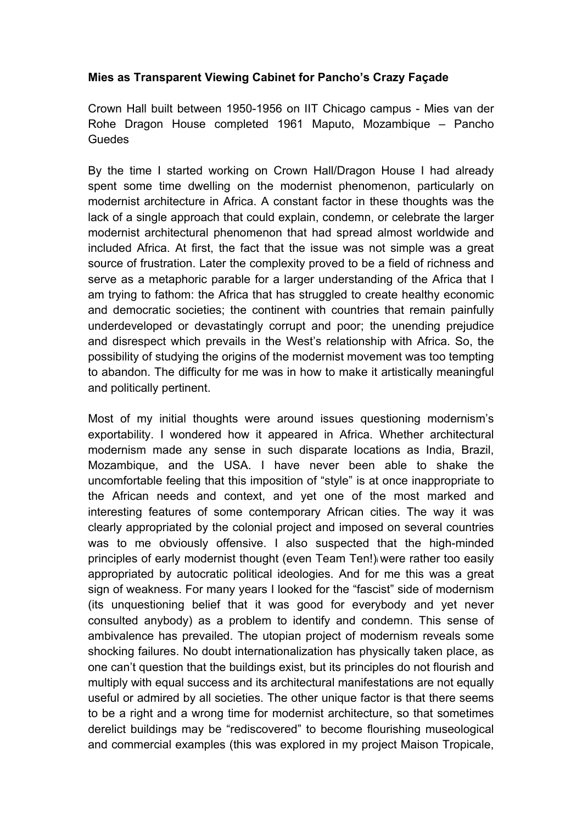## **Mies as Transparent Viewing Cabinet for Pancho's Crazy Façade**

Crown Hall built between 1950-1956 on IIT Chicago campus - Mies van der Rohe Dragon House completed 1961 Maputo, Mozambique – Pancho Guedes

By the time I started working on Crown Hall/Dragon House I had already spent some time dwelling on the modernist phenomenon, particularly on modernist architecture in Africa. A constant factor in these thoughts was the lack of a single approach that could explain, condemn, or celebrate the larger modernist architectural phenomenon that had spread almost worldwide and included Africa. At first, the fact that the issue was not simple was a great source of frustration. Later the complexity proved to be a field of richness and serve as a metaphoric parable for a larger understanding of the Africa that I am trying to fathom: the Africa that has struggled to create healthy economic and democratic societies; the continent with countries that remain painfully underdeveloped or devastatingly corrupt and poor; the unending prejudice and disrespect which prevails in the West's relationship with Africa. So, the possibility of studying the origins of the modernist movement was too tempting to abandon. The difficulty for me was in how to make it artistically meaningful and politically pertinent.

Most of my initial thoughts were around issues questioning modernism's exportability. I wondered how it appeared in Africa. Whether architectural modernism made any sense in such disparate locations as India, Brazil, Mozambique, and the USA. I have never been able to shake the uncomfortable feeling that this imposition of "style" is at once inappropriate to the African needs and context, and yet one of the most marked and interesting features of some contemporary African cities. The way it was clearly appropriated by the colonial project and imposed on several countries was to me obviously offensive. I also suspected that the high-minded principles of early modernist thought (even Team Ten!)i were rather too easily appropriated by autocratic political ideologies. And for me this was a great sign of weakness. For many years I looked for the "fascist" side of modernism (its unquestioning belief that it was good for everybody and yet never consulted anybody) as a problem to identify and condemn. This sense of ambivalence has prevailed. The utopian project of modernism reveals some shocking failures. No doubt internationalization has physically taken place, as one can't question that the buildings exist, but its principles do not flourish and multiply with equal success and its architectural manifestations are not equally useful or admired by all societies. The other unique factor is that there seems to be a right and a wrong time for modernist architecture, so that sometimes derelict buildings may be "rediscovered" to become flourishing museological and commercial examples (this was explored in my project Maison Tropicale,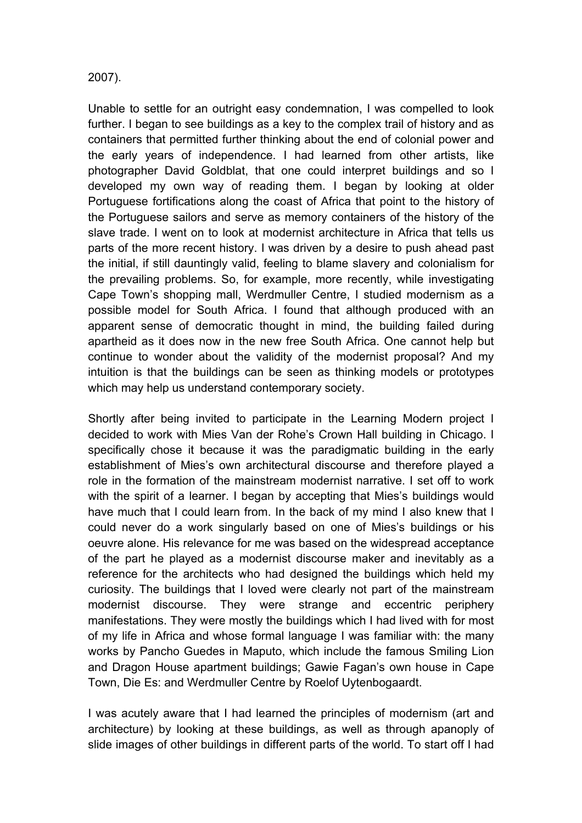## 2007).

Unable to settle for an outright easy condemnation, I was compelled to look further. I began to see buildings as a key to the complex trail of history and as containers that permitted further thinking about the end of colonial power and the early years of independence. I had learned from other artists, like photographer David Goldblat, that one could interpret buildings and so I developed my own way of reading them. I began by looking at older Portuguese fortifications along the coast of Africa that point to the history of the Portuguese sailors and serve as memory containers of the history of the slave trade. I went on to look at modernist architecture in Africa that tells us parts of the more recent history. I was driven by a desire to push ahead past the initial, if still dauntingly valid, feeling to blame slavery and colonialism for the prevailing problems. So, for example, more recently, while investigating Cape Town's shopping mall, Werdmuller Centre, I studied modernism as a possible model for South Africa. I found that although produced with an apparent sense of democratic thought in mind, the building failed during apartheid as it does now in the new free South Africa. One cannot help but continue to wonder about the validity of the modernist proposal? And my intuition is that the buildings can be seen as thinking models or prototypes which may help us understand contemporary society.

Shortly after being invited to participate in the Learning Modern project I decided to work with Mies Van der Rohe's Crown Hall building in Chicago. I specifically chose it because it was the paradigmatic building in the early establishment of Mies's own architectural discourse and therefore played a role in the formation of the mainstream modernist narrative. I set off to work with the spirit of a learner. I began by accepting that Mies's buildings would have much that I could learn from. In the back of my mind I also knew that I could never do a work singularly based on one of Mies's buildings or his oeuvre alone. His relevance for me was based on the widespread acceptance of the part he played as a modernist discourse maker and inevitably as a reference for the architects who had designed the buildings which held my curiosity. The buildings that I loved were clearly not part of the mainstream modernist discourse. They were strange and eccentric periphery manifestations. They were mostly the buildings which I had lived with for most of my life in Africa and whose formal language I was familiar with: the many works by Pancho Guedes in Maputo, which include the famous Smiling Lion and Dragon House apartment buildings; Gawie Fagan's own house in Cape Town, Die Es: and Werdmuller Centre by Roelof Uytenbogaardt.

I was acutely aware that I had learned the principles of modernism (art and architecture) by looking at these buildings, as well as through apanoply of slide images of other buildings in different parts of the world. To start off I had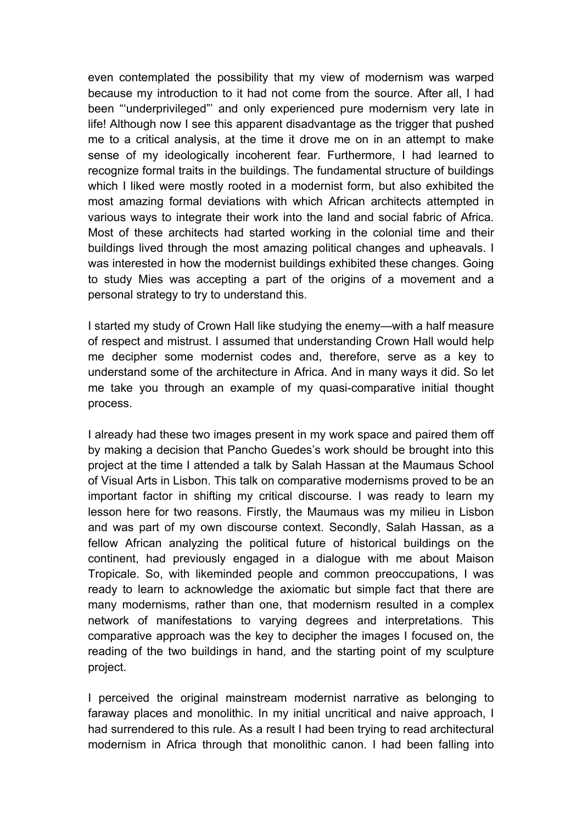even contemplated the possibility that my view of modernism was warped because my introduction to it had not come from the source. After all, I had been "'underprivileged"' and only experienced pure modernism very late in life! Although now I see this apparent disadvantage as the trigger that pushed me to a critical analysis, at the time it drove me on in an attempt to make sense of my ideologically incoherent fear. Furthermore, I had learned to recognize formal traits in the buildings. The fundamental structure of buildings which I liked were mostly rooted in a modernist form, but also exhibited the most amazing formal deviations with which African architects attempted in various ways to integrate their work into the land and social fabric of Africa. Most of these architects had started working in the colonial time and their buildings lived through the most amazing political changes and upheavals. I was interested in how the modernist buildings exhibited these changes. Going to study Mies was accepting a part of the origins of a movement and a personal strategy to try to understand this.

I started my study of Crown Hall like studying the enemy—with a half measure of respect and mistrust. I assumed that understanding Crown Hall would help me decipher some modernist codes and, therefore, serve as a key to understand some of the architecture in Africa. And in many ways it did. So let me take you through an example of my quasi-comparative initial thought process.

I already had these two images present in my work space and paired them off by making a decision that Pancho Guedes's work should be brought into this project at the time I attended a talk by Salah Hassan at the Maumaus School of Visual Arts in Lisbon. This talk on comparative modernisms proved to be an important factor in shifting my critical discourse. I was ready to learn my lesson here for two reasons. Firstly, the Maumaus was my milieu in Lisbon and was part of my own discourse context. Secondly, Salah Hassan, as a fellow African analyzing the political future of historical buildings on the continent, had previously engaged in a dialogue with me about Maison Tropicale. So, with likeminded people and common preoccupations, I was ready to learn to acknowledge the axiomatic but simple fact that there are many modernisms, rather than one, that modernism resulted in a complex network of manifestations to varying degrees and interpretations. This comparative approach was the key to decipher the images I focused on, the reading of the two buildings in hand, and the starting point of my sculpture project.

I perceived the original mainstream modernist narrative as belonging to faraway places and monolithic. In my initial uncritical and naive approach, I had surrendered to this rule. As a result I had been trying to read architectural modernism in Africa through that monolithic canon. I had been falling into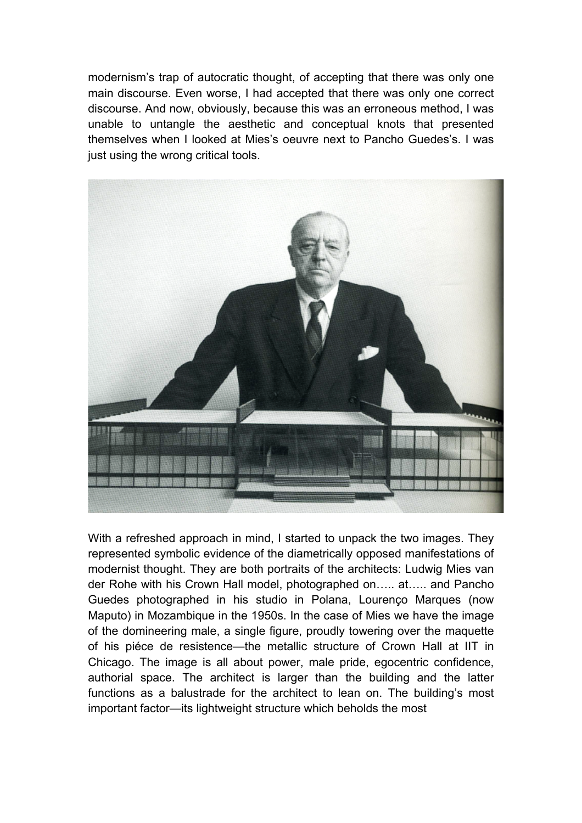modernism's trap of autocratic thought, of accepting that there was only one main discourse. Even worse, I had accepted that there was only one correct discourse. And now, obviously, because this was an erroneous method, I was unable to untangle the aesthetic and conceptual knots that presented themselves when I looked at Mies's oeuvre next to Pancho Guedes's. I was just using the wrong critical tools.



With a refreshed approach in mind, I started to unpack the two images. They represented symbolic evidence of the diametrically opposed manifestations of modernist thought. They are both portraits of the architects: Ludwig Mies van der Rohe with his Crown Hall model, photographed on….. at….. and Pancho Guedes photographed in his studio in Polana, Lourenço Marques (now Maputo) in Mozambique in the 1950s. In the case of Mies we have the image of the domineering male, a single figure, proudly towering over the maquette of his piéce de resistence—the metallic structure of Crown Hall at IIT in Chicago. The image is all about power, male pride, egocentric confidence, authorial space. The architect is larger than the building and the latter functions as a balustrade for the architect to lean on. The building's most important factor—its lightweight structure which beholds the most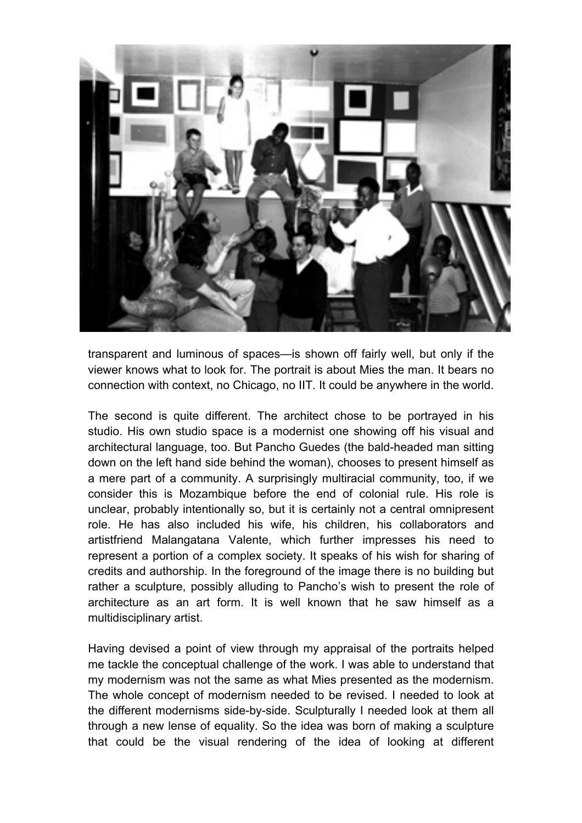

transparent and luminous of spaces—is shown off fairly well, but only if the viewer knows what to look for. The portrait is about Mies the man. It bears no connection with context, no Chicago, no IIT. It could be anywhere in the world.

The second is quite different. The architect chose to be portrayed in his studio. His own studio space is a modernist one showing off his visual and architectural language, too. But Pancho Guedes (the bald-headed man sitting down on the left hand side behind the woman), chooses to present himself as a mere part of a community. A surprisingly multiracial community, too, if we consider this is Mozambique before the end of colonial rule. His role is unclear, probably intentionally so, but it is certainly not a central omnipresent role. He has also included his wife, his children, his collaborators and artistfriend Malangatana Valente, which further impresses his need to represent a portion of a complex society. It speaks of his wish for sharing of credits and authorship. In the foreground of the image there is no building but rather a sculpture, possibly alluding to Pancho's wish to present the role of architecture as an art form. It is well known that he saw himself as a multidisciplinary artist.

Having devised a point of view through my appraisal of the portraits helped me tackle the conceptual challenge of the work. I was able to understand that my modernism was not the same as what Mies presented as the modernism. The whole concept of modernism needed to be revised. I needed to look at the different modernisms side-by-side. Sculpturally I needed look at them all through a new lense of equality. So the idea was born of making a sculpture that could be the visual rendering of the idea of looking at different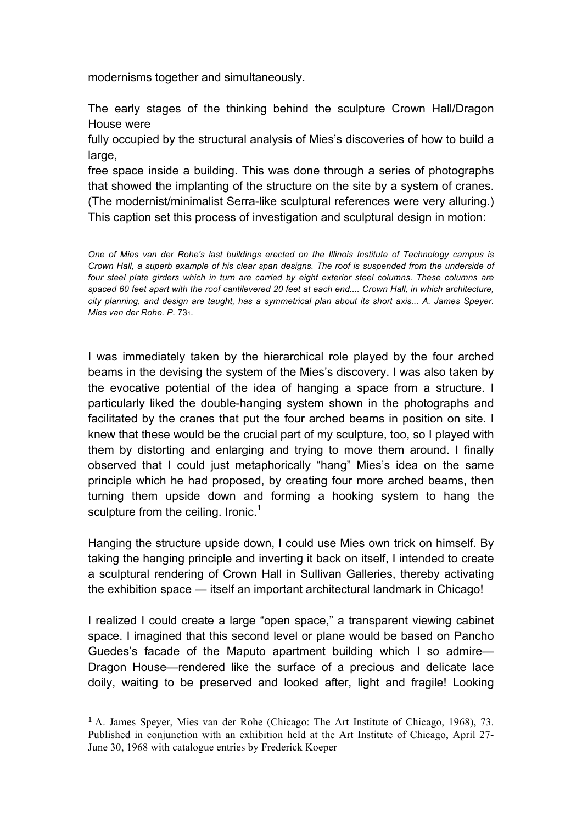modernisms together and simultaneously.

The early stages of the thinking behind the sculpture Crown Hall/Dragon House were

fully occupied by the structural analysis of Mies's discoveries of how to build a large,

free space inside a building. This was done through a series of photographs that showed the implanting of the structure on the site by a system of cranes. (The modernist/minimalist Serra-like sculptural references were very alluring.) This caption set this process of investigation and sculptural design in motion:

*One of Mies van der Rohe's last buildings erected on the Illinois Institute of Technology campus is Crown Hall, a superb example of his clear span designs. The roof is suspended from the underside of four steel plate girders which in turn are carried by eight exterior steel columns. These columns are spaced 60 feet apart with the roof cantilevered 20 feet at each end.... Crown Hall, in which architecture, city planning, and design are taught, has a symmetrical plan about its short axis... A. James Speyer. Mies van der Rohe. P.* 731.

I was immediately taken by the hierarchical role played by the four arched beams in the devising the system of the Mies's discovery. I was also taken by the evocative potential of the idea of hanging a space from a structure. I particularly liked the double-hanging system shown in the photographs and facilitated by the cranes that put the four arched beams in position on site. I knew that these would be the crucial part of my sculpture, too, so I played with them by distorting and enlarging and trying to move them around. I finally observed that I could just metaphorically "hang" Mies's idea on the same principle which he had proposed, by creating four more arched beams, then turning them upside down and forming a hooking system to hang the sculpture from the ceiling. Ironic.<sup>1</sup>

Hanging the structure upside down, I could use Mies own trick on himself. By taking the hanging principle and inverting it back on itself, I intended to create a sculptural rendering of Crown Hall in Sullivan Galleries, thereby activating the exhibition space — itself an important architectural landmark in Chicago!

I realized I could create a large "open space," a transparent viewing cabinet space. I imagined that this second level or plane would be based on Pancho Guedes's facade of the Maputo apartment building which I so admire— Dragon House—rendered like the surface of a precious and delicate lace doily, waiting to be preserved and looked after, light and fragile! Looking

 

<sup>1</sup> A. James Speyer, Mies van der Rohe (Chicago: The Art Institute of Chicago, 1968), 73. Published in conjunction with an exhibition held at the Art Institute of Chicago, April 27- June 30, 1968 with catalogue entries by Frederick Koeper